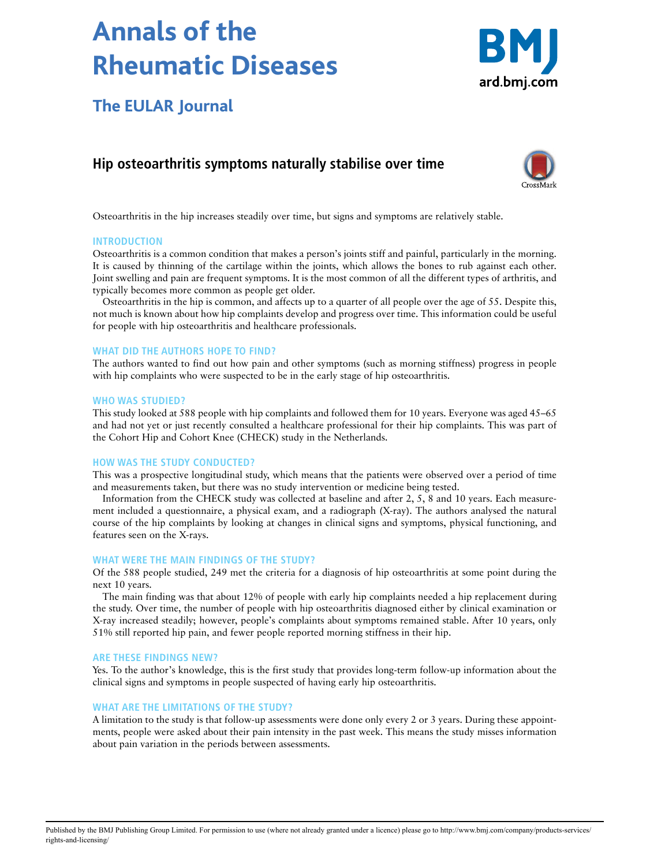# **Annals of the Rheumatic Diseases**



**The EULAR Journal**

# **Hip osteoarthritis symptoms naturally stabilise over time**



Osteoarthritis in the hip increases steadily over time, but signs and symptoms are relatively stable.

### **INTRODUCTION**

Osteoarthritis is a common condition that makes a person's joints stiff and painful, particularly in the morning. It is caused by thinning of the cartilage within the joints, which allows the bones to rub against each other. Joint swelling and pain are frequent symptoms. It is the most common of all the different types of arthritis, and typically becomes more common as people get older.

Osteoarthritis in the hip is common, and affects up to a quarter of all people over the age of 55. Despite this, not much is known about how hip complaints develop and progress over time. This information could be useful for people with hip osteoarthritis and healthcare professionals.

#### **WHAT DID THE AUTHORS HOPE TO FIND?**

The authors wanted to find out how pain and other symptoms (such as morning stiffness) progress in people with hip complaints who were suspected to be in the early stage of hip osteoarthritis.

#### **WHO WAS STUDIED?**

This study looked at 588 people with hip complaints and followed them for 10 years. Everyone was aged 45–65 and had not yet or just recently consulted a healthcare professional for their hip complaints. This was part of the Cohort Hip and Cohort Knee (CHECK) study in the Netherlands.

#### **HOW WAS THE STUDY CONDUCTED?**

This was a prospective longitudinal study, which means that the patients were observed over a period of time and measurements taken, but there was no study intervention or medicine being tested.

Information from the CHECK study was collected at baseline and after 2, 5, 8 and 10 years. Each measurement included a questionnaire, a physical exam, and a radiograph (X-ray). The authors analysed the natural course of the hip complaints by looking at changes in clinical signs and symptoms, physical functioning, and features seen on the X-rays.

#### **WHAT WERE THE MAIN FINDINGS OF THE STUDY?**

Of the 588 people studied, 249 met the criteria for a diagnosis of hip osteoarthritis at some point during the next 10 years.

The main finding was that about 12% of people with early hip complaints needed a hip replacement during the study. Over time, the number of people with hip osteoarthritis diagnosed either by clinical examination or X-ray increased steadily; however, people's complaints about symptoms remained stable. After 10 years, only 51% still reported hip pain, and fewer people reported morning stiffness in their hip.

#### **ARE THESE FINDINGS NEW?**

Yes. To the author's knowledge, this is the first study that provides long-term follow-up information about the clinical signs and symptoms in people suspected of having early hip osteoarthritis.

#### **WHAT ARE THE LIMITATIONS OF THE STUDY?**

A limitation to the study is that follow-up assessments were done only every 2 or 3 years. During these appointments, people were asked about their pain intensity in the past week. This means the study misses information about pain variation in the periods between assessments.